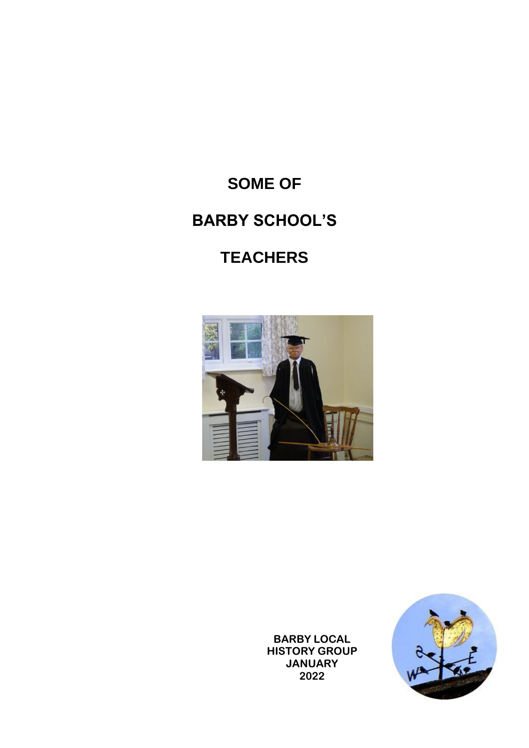# **SOME OF BARBY SCHOOL'S**

# **TEACHERS**





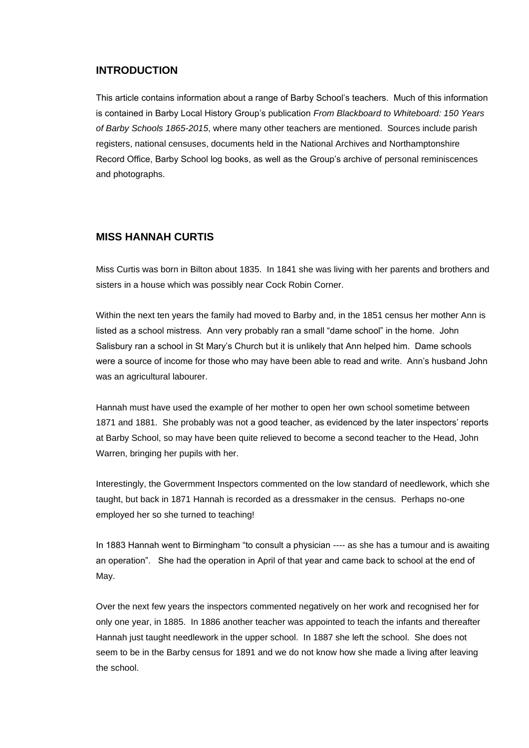#### **INTRODUCTION**

This article contains information about a range of Barby School's teachers. Much of this information is contained in Barby Local History Group's publication *From Blackboard to Whiteboard: 150 Years of Barby Schools 1865-2015*, where many other teachers are mentioned. Sources include parish registers, national censuses, documents held in the National Archives and Northamptonshire Record Office, Barby School log books, as well as the Group's archive of personal reminiscences and photographs.

#### **MISS HANNAH CURTIS**

Miss Curtis was born in Bilton about 1835. In 1841 she was living with her parents and brothers and sisters in a house which was possibly near Cock Robin Corner.

Within the next ten years the family had moved to Barby and, in the 1851 census her mother Ann is listed as a school mistress. Ann very probably ran a small "dame school" in the home. John Salisbury ran a school in St Mary's Church but it is unlikely that Ann helped him. Dame schools were a source of income for those who may have been able to read and write. Ann's husband John was an agricultural labourer.

Hannah must have used the example of her mother to open her own school sometime between 1871 and 1881. She probably was not a good teacher, as evidenced by the later inspectors' reports at Barby School, so may have been quite relieved to become a second teacher to the Head, John Warren, bringing her pupils with her.

Interestingly, the Govermment Inspectors commented on the low standard of needlework, which she taught, but back in 1871 Hannah is recorded as a dressmaker in the census. Perhaps no-one employed her so she turned to teaching!

In 1883 Hannah went to Birmingham "to consult a physician ---- as she has a tumour and is awaiting an operation". She had the operation in April of that year and came back to school at the end of May.

Over the next few years the inspectors commented negatively on her work and recognised her for only one year, in 1885. In 1886 another teacher was appointed to teach the infants and thereafter Hannah just taught needlework in the upper school. In 1887 she left the school. She does not seem to be in the Barby census for 1891 and we do not know how she made a living after leaving the school.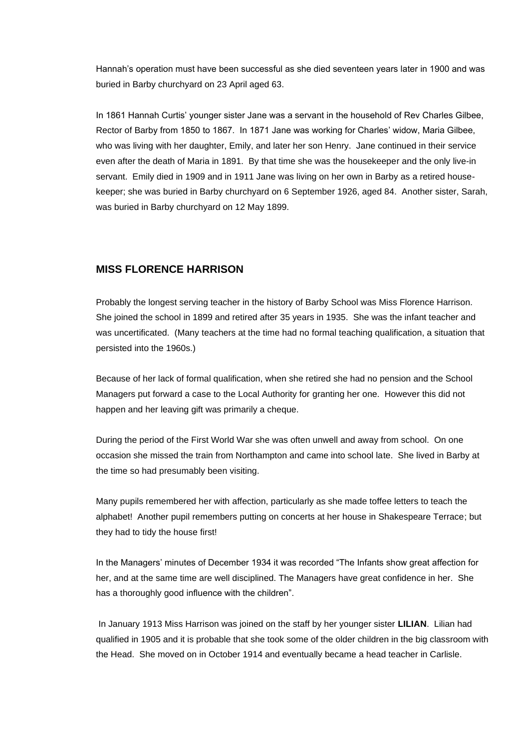Hannah's operation must have been successful as she died seventeen years later in 1900 and was buried in Barby churchyard on 23 April aged 63.

In 1861 Hannah Curtis' younger sister Jane was a servant in the household of Rev Charles Gilbee, Rector of Barby from 1850 to 1867. In 1871 Jane was working for Charles' widow, Maria Gilbee, who was living with her daughter, Emily, and later her son Henry. Jane continued in their service even after the death of Maria in 1891. By that time she was the housekeeper and the only live-in servant. Emily died in 1909 and in 1911 Jane was living on her own in Barby as a retired housekeeper; she was buried in Barby churchyard on 6 September 1926, aged 84. Another sister, Sarah, was buried in Barby churchyard on 12 May 1899.

## **MISS FLORENCE HARRISON**

Probably the longest serving teacher in the history of Barby School was Miss Florence Harrison. She joined the school in 1899 and retired after 35 years in 1935. She was the infant teacher and was uncertificated. (Many teachers at the time had no formal teaching qualification, a situation that persisted into the 1960s.)

Because of her lack of formal qualification, when she retired she had no pension and the School Managers put forward a case to the Local Authority for granting her one. However this did not happen and her leaving gift was primarily a cheque.

During the period of the First World War she was often unwell and away from school. On one occasion she missed the train from Northampton and came into school late. She lived in Barby at the time so had presumably been visiting.

Many pupils remembered her with affection, particularly as she made toffee letters to teach the alphabet! Another pupil remembers putting on concerts at her house in Shakespeare Terrace; but they had to tidy the house first!

In the Managers' minutes of December 1934 it was recorded "The Infants show great affection for her, and at the same time are well disciplined. The Managers have great confidence in her. She has a thoroughly good influence with the children".

In January 1913 Miss Harrison was joined on the staff by her younger sister **LILIAN**. Lilian had qualified in 1905 and it is probable that she took some of the older children in the big classroom with the Head. She moved on in October 1914 and eventually became a head teacher in Carlisle.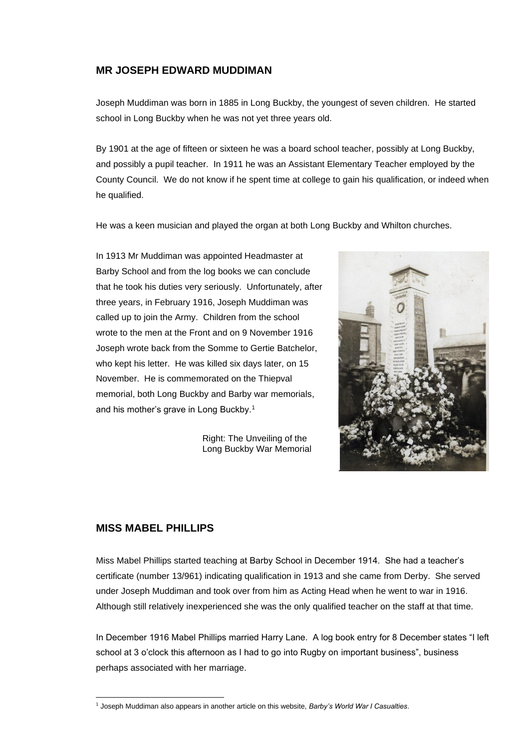#### **MR JOSEPH EDWARD MUDDIMAN**

Joseph Muddiman was born in 1885 in Long Buckby, the youngest of seven children. He started school in Long Buckby when he was not yet three years old.

By 1901 at the age of fifteen or sixteen he was a board school teacher, possibly at Long Buckby, and possibly a pupil teacher. In 1911 he was an Assistant Elementary Teacher employed by the County Council. We do not know if he spent time at college to gain his qualification, or indeed when he qualified.

He was a keen musician and played the organ at both Long Buckby and Whilton churches.

In 1913 Mr Muddiman was appointed Headmaster at Barby School and from the log books we can conclude that he took his duties very seriously. Unfortunately, after three years, in February 1916, Joseph Muddiman was called up to join the Army. Children from the school wrote to the men at the Front and on 9 November 1916 Joseph wrote back from the Somme to Gertie Batchelor, who kept his letter. He was killed six days later, on 15 November. He is commemorated on the Thiepval memorial, both Long Buckby and Barby war memorials, and his mother's grave in Long Buckby.<sup>1</sup>

> Right: The Unveiling of the Long Buckby War Memorial



#### **MISS MABEL PHILLIPS**

Miss Mabel Phillips started teaching at Barby School in December 1914. She had a teacher's certificate (number 13/961) indicating qualification in 1913 and she came from Derby. She served under Joseph Muddiman and took over from him as Acting Head when he went to war in 1916. Although still relatively inexperienced she was the only qualified teacher on the staff at that time.

In December 1916 Mabel Phillips married Harry Lane. A log book entry for 8 December states "I left school at 3 o'clock this afternoon as I had to go into Rugby on important business", business perhaps associated with her marriage.

<sup>1</sup> Joseph Muddiman also appears in another article on this website, *Barby's World War I Casualties*.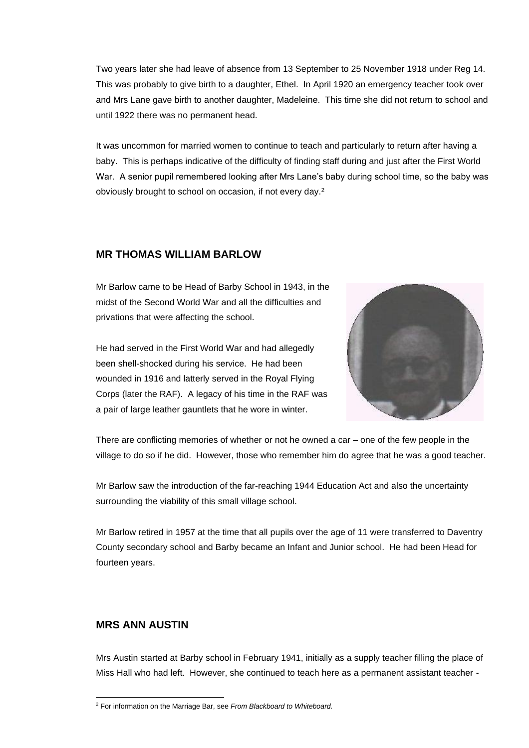Two years later she had leave of absence from 13 September to 25 November 1918 under Reg 14. This was probably to give birth to a daughter, Ethel. In April 1920 an emergency teacher took over and Mrs Lane gave birth to another daughter, Madeleine. This time she did not return to school and until 1922 there was no permanent head.

It was uncommon for married women to continue to teach and particularly to return after having a baby. This is perhaps indicative of the difficulty of finding staff during and just after the First World War. A senior pupil remembered looking after Mrs Lane's baby during school time, so the baby was obviously brought to school on occasion, if not every day.<sup>2</sup>

#### **MR THOMAS WILLIAM BARLOW**

Mr Barlow came to be Head of Barby School in 1943, in the midst of the Second World War and all the difficulties and privations that were affecting the school.

He had served in the First World War and had allegedly been shell-shocked during his service. He had been wounded in 1916 and latterly served in the Royal Flying Corps (later the RAF). A legacy of his time in the RAF was a pair of large leather gauntlets that he wore in winter.



There are conflicting memories of whether or not he owned a car – one of the few people in the village to do so if he did. However, those who remember him do agree that he was a good teacher.

Mr Barlow saw the introduction of the far-reaching 1944 Education Act and also the uncertainty surrounding the viability of this small village school.

Mr Barlow retired in 1957 at the time that all pupils over the age of 11 were transferred to Daventry County secondary school and Barby became an Infant and Junior school. He had been Head for fourteen years.

## **MRS ANN AUSTIN**

Mrs Austin started at Barby school in February 1941, initially as a supply teacher filling the place of Miss Hall who had left. However, she continued to teach here as a permanent assistant teacher -

<sup>2</sup> For information on the Marriage Bar, see *From Blackboard to Whiteboard.*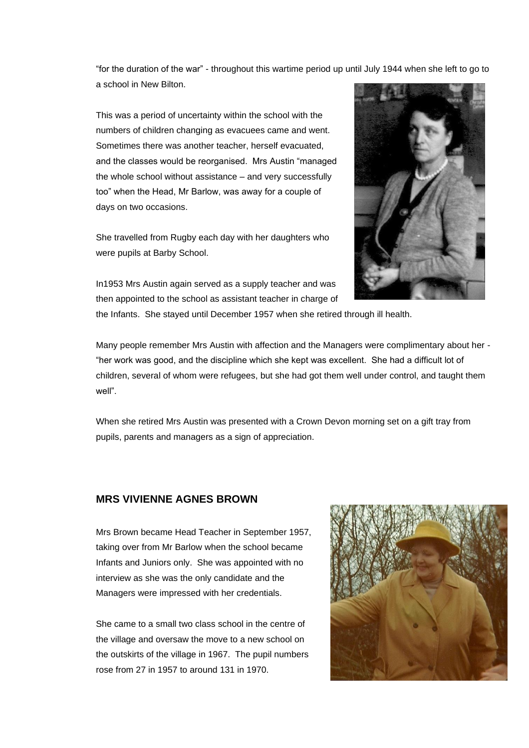"for the duration of the war" - throughout this wartime period up until July 1944 when she left to go to a school in New Bilton.

This was a period of uncertainty within the school with the numbers of children changing as evacuees came and went. Sometimes there was another teacher, herself evacuated, and the classes would be reorganised. Mrs Austin "managed the whole school without assistance – and very successfully too" when the Head, Mr Barlow, was away for a couple of days on two occasions.

She travelled from Rugby each day with her daughters who were pupils at Barby School.



In1953 Mrs Austin again served as a supply teacher and was then appointed to the school as assistant teacher in charge of the Infants. She stayed until December 1957 when she retired through ill health.

Many people remember Mrs Austin with affection and the Managers were complimentary about her - "her work was good, and the discipline which she kept was excellent. She had a difficult lot of children, several of whom were refugees, but she had got them well under control, and taught them well".

When she retired Mrs Austin was presented with a Crown Devon morning set on a gift tray from pupils, parents and managers as a sign of appreciation.

## **MRS VIVIENNE AGNES BROWN**

Mrs Brown became Head Teacher in September 1957, taking over from Mr Barlow when the school became Infants and Juniors only. She was appointed with no interview as she was the only candidate and the Managers were impressed with her credentials.

She came to a small two class school in the centre of the village and oversaw the move to a new school on the outskirts of the village in 1967. The pupil numbers rose from 27 in 1957 to around 131 in 1970.

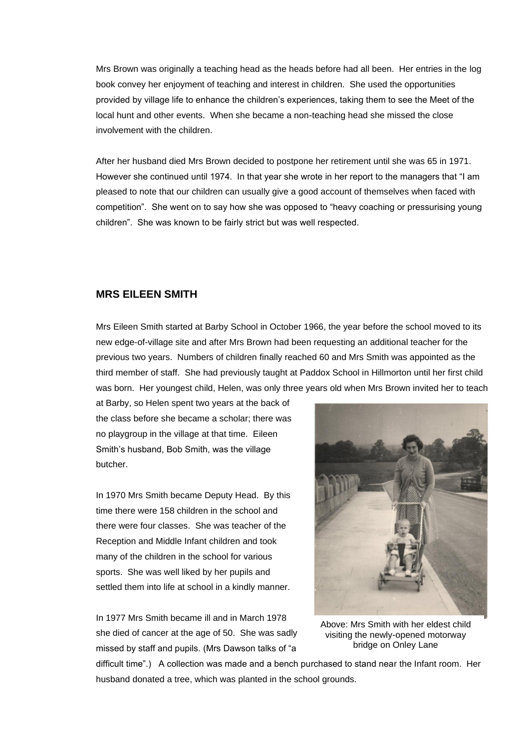Mrs Brown was originally a teaching head as the heads before had all been. Her entries in the log book convey her enjoyment of teaching and interest in children. She used the opportunities provided by village life to enhance the children's experiences, taking them to see the Meet of the local hunt and other events. When she became a non-teaching head she missed the close involvement with the children.

After her husband died Mrs Brown decided to postpone her retirement until she was 65 in 1971. However she continued until 1974. In that year she wrote in her report to the managers that "I am pleased to note that our children can usually give a good account of themselves when faced with competition". She went on to say how she was opposed to "heavy coaching or pressurising young children". She was known to be fairly strict but was well respected.

#### **MRS EILEEN SMITH**

Mrs Eileen Smith started at Barby School in October 1966, the year before the school moved to its new edge-of-village site and after Mrs Brown had been requesting an additional teacher for the previous two years. Numbers of children finally reached 60 and Mrs Smith was appointed as the third member of staff. She had previously taught at Paddox School in Hillmorton until her first child was born. Her youngest child, Helen, was only three years old when Mrs Brown invited her to teach

at Barby, so Helen spent two years at the back of the class before she became a scholar; there was no playgroup in the village at that time. Eileen Smith's husband, Bob Smith, was the village butcher.

In 1970 Mrs Smith became Deputy Head. By this time there were 158 children in the school and there were four classes. She was teacher of the Reception and Middle Infant children and took many of the children in the school for various sports. She was well liked by her pupils and settled them into life at school in a kindly manner.

In 1977 Mrs Smith became ill and in March 1978 she died of cancer at the age of 50. She was sadly missed by staff and pupils. (Mrs Dawson talks of "a



Above: Mrs Smith with her eldest child visiting the newly-opened motorway bridge on Onley Lane

difficult time".) A collection was made and a bench purchased to stand near the Infant room. Her husband donated a tree, which was planted in the school grounds.